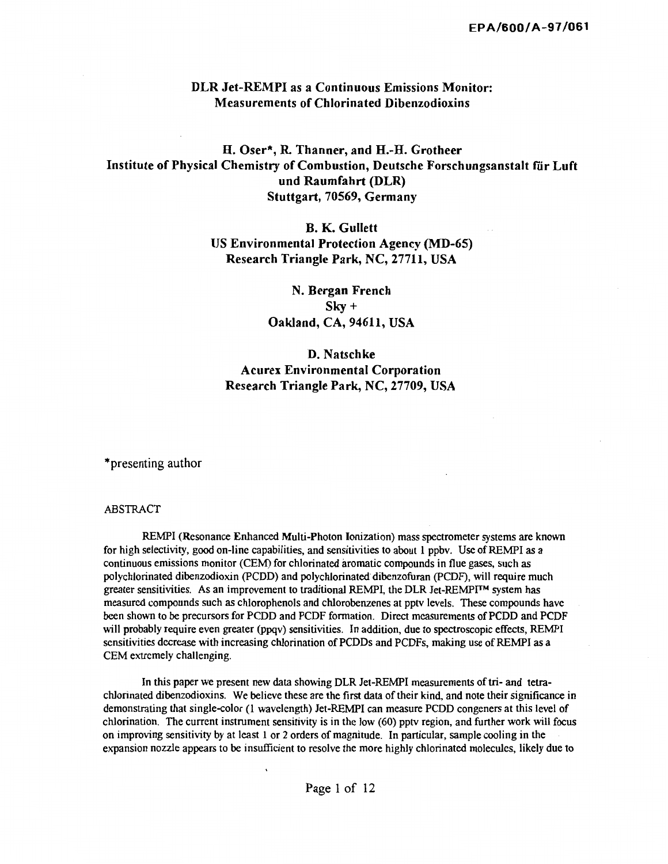## DLR Jet-REMPI as a Continuous Emissions Monitor: Measurements of Chlorinated Dibenzodioxins

# H. Oser\*, R. Thanner, and H.-H. Grotheer Institute of Physical Chemistry of Combustion, Deutsche Forschungsanstalt fiir Luft und Raumfahrt (DLR) Stuttgart, 70569, Germany

B. K. Gullett US Environmental Protection Agency (MD-65) Research Triangle Park, NC, 27711, USA

> N. Bergan French Sky+ Oakland, CA, 94611, USA

# D. Natschke Acurex Environmental Corporation Research Triangle Park, NC, 27709, USA

\*presenting author

#### ABSTRACT

REMPI (Resonance Enhanced Multi-Photon Ionization) mass spectrometer systems are known for high selectivity, good on-line capabilities, and sensitivities to about 1 ppbv. Use of REMPI as a continuous emissions monitor (CEM) for chlorinated aromatic compounds in flue gases, such as polychlorinated dibenzodioxin (PCDD) and polychlorinated dibenzofuran (PCDF), will require much greater sensitivities. As an improvement to traditional REMPI, the DLR Jet-REMPI™ system has measured compounds such as chlorophenols and chlorobenzenes at pptv levels. These compounds have been shown to be precursors for PCDD and PCDF formation. Direct measurements of PCDD and PCDF will probably require even greater (ppqv) sensitivities. In addition, due to spectroscopic effects, REMPI sensitivities decrease with increasing chlorination of PCDDs and PCDFs, making use of REMPI as a CEM extremely challenging.

In this paper we present new data showing DLR Jet-REMPI measurements of tri- and tetrachlorinated dibenzodioxins. We believe these are the first data of their kind, and note their significance in demonstrating that single-color (1 wavelength) Jet-REMPI can measure PCDD congeners at this level of chlorination. The current instrument sensitivity is in the low (60) pptv region, and further work will focus on improving sensitivity by at least I or 2 orders of magnitude. In particular, sample cooling in the expansion nozzle appears to be insufficient to resolve the more highly chlorinated molecules, likely due to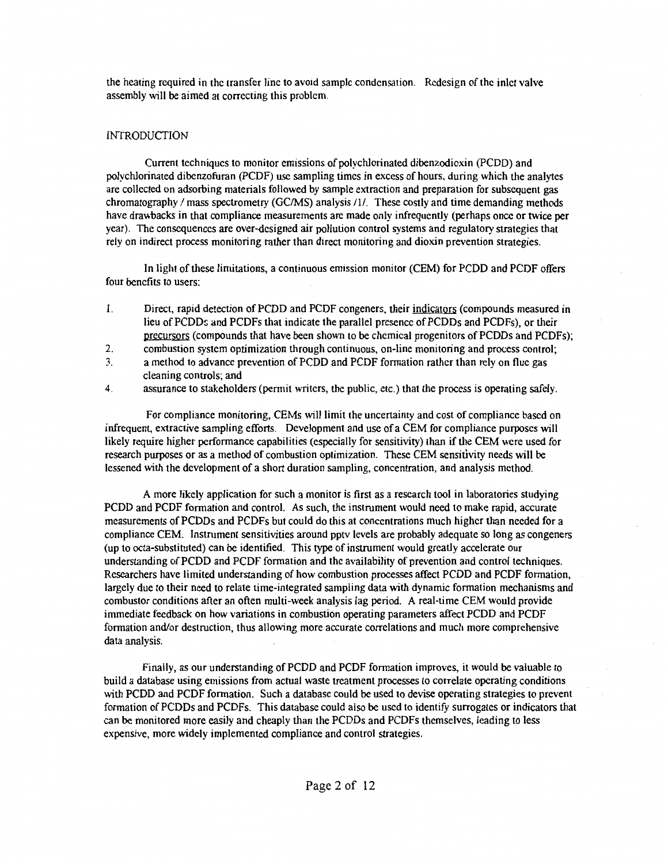the heating required in the transfer line to avoid sample condensation. Redesign of the inlet valve assembly will be aimed at correcting this problem.

## INTRODUCTION

Current techniques to monitor emissions of polychlorinated dibenzodioxin (PCDD) and polychlorinated dibenzofuran (PCDF) use sampling times in excess of hours, during which the analytes are collected on adsorbing materials followed by sample extraction and preparation for subsequent gas chromatography I mass spectrometry (GC/MS) analysis /l/. These costly and time demanding methods have drawbacks in that compliance measurements are made only infrequently (perhaps once or twice per year). The consequences are over-designed air pollution control systems and regulatory strategies that rely on indirect process monitoring rather than direct monitoring and dioxin prevention strategies.

In light of these limitations, a continuous emission monitor (CEM) for PCDD and PCDF offers four benefits to users:

- l. Direct, rapid detection of PCDD and PCDF congeners, their indicators (compounds measured in lieu of PCDD:; and PCDFs that indicate the parallel presence of PCDDs and PCDFs), or their precursors (compounds that have been shown to be chemical progenitors of PCDDs and PCDFs);
- 2. combustion system optimization through continuous, on-line monitoring and process control;
- 3. a method to advance prevention of PCDD and PCDF formation rather than rely on flue gas cleaning controls; and
- 4. assurance to stakeholders (permit writers, the public, etc.) that the process is operating safely.

For compliance monitoring, CEMs will limit the uncertainty and cost of compliance based on infrequent, extractive sampling efforts. Development and use of a CEM for compliance purposes will likely require higher performance capabilities (especially for sensitivity) than if the CEM were used for research purposes or as a method of combustion optimization. These CEM sensitivity needs will be lessened with the development of a short duration sampling, concentration, and analysis method.

A more likely application for such a monitor is first as a research tool in laboratories studying PCDD and PCDF formation and control. As such, the instrument would need to make rapid, accurate measurements of PCDDs and PCDFs but could do this at concentrations much higher than needed for a compliance CEM. Instrument sensitivities around pptv levels are probably adequate so long as congeners (up to octa-substituted) can be identified. This type of instrument would greatly accelerate our understanding of PCDD and PCDF formation and the availability of prevention and control techniques. Researchers have limited understanding of how combustion processes affect PCDD and PCDF formation, largely due to their need to relate time-integrated sampling data with dynamic formation mechanisms and combustor conditions after an often multi-week analysis lag period. A real-time CEM would provide immediate feedback on how variations in combustion operating parameters affect PCDD and PCDF formation and/or destruction, thus allowing more accurate correlations and much more comprehensive data analysis.

Finally, as our understanding of PCDD and PCDF formation improves, it would be valuable to build a database using emissions from actual waste treatment processes to correlate operating conditions with PCDD and PCDF formation. Such a database could be used to devise operating strategies to prevent formation of PCDDs and PCDFs. This database could also be used to identify surrogates or indicators that can be monitored more easily and cheaply than the PCDDs and PCDFs themselves, leading to less expensive, more widely implemented compliance and control strategies.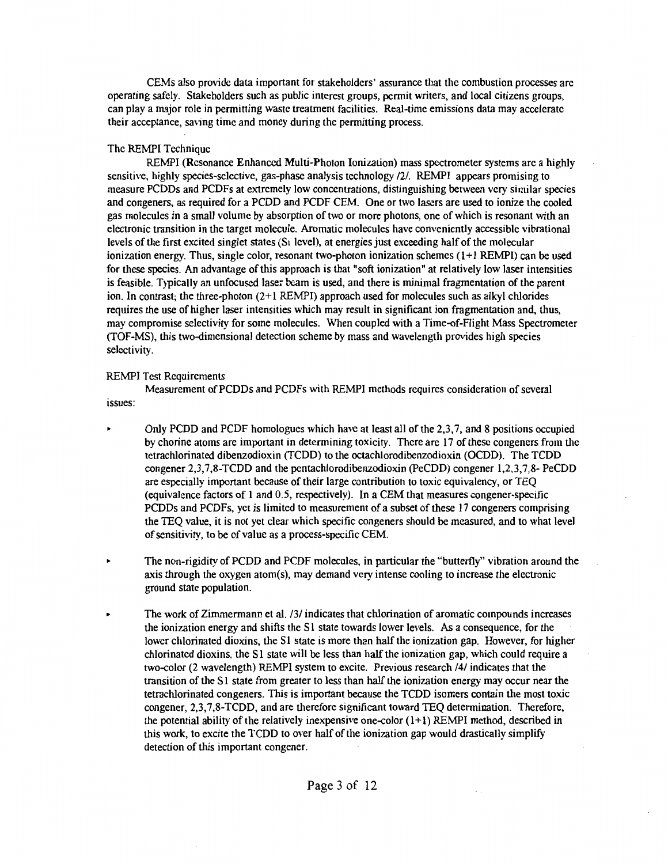CEMs also provide data important for stakeholders' assurance that the combustion processes arc operating safely. Stakeholders such as public interest groups, permit writers, and local citizens groups, can play a major role in permitting waste treatment facilities. Real-time emissions data may accelerate their acceptance, saving time and money during the permitting process.

## The REMPI Technique

REMPI (Resonance Enhanced Multi-Photon Ionization) mass spectrometer systems arc a highly sensitive, highly species-selective, gas-phase analysis technology /2/. REMPI appears promising to measure PCDDs and PCDFs at extremely low concentrations, distinguishing between very similar species and congeners, as required for a PCDD and PCDF CEM. One or two lasers arc used to ionize the cooled gas molecules in a small volume by absorption of two or more photons, one of which is resonant with an electronic transition in the target molecule. Aromatic molecules have conveniently accessible vibrational levels of the first excited singlet states ( $S<sub>1</sub>$  level), at energies just exceeding half of the molecular ionization energy. Thus, single color, resonant two-photon ionization schemes (l+l REMPI) can be used for these species. An advantage of this approach is that "soft ionization" at relatively low laser intensities is feasible. Typically an unfocused laser beam is used, and there is minimal fragmentation of the parent ion. In contrast; the three-photon  $(2+1)$  REMPI) approach used for molecules such as alkyl chlorides requires the use of higher laser intensities which may result in significant ion fragmentation and, thus, may compromise selectivity for some molecules. When coupled with a Time-of-Flight Mass Spectrometer (TOF-MS), this two-dimensional detection scheme by mass and wavelength provides high species selectivity.

### REMPI Test Requirements

Measurement of PCDDs and PCDFs with REMPI methods requires consideration of several issues:

- .. Only PCDD and PCDF homologues which have at least all of the 2,3,7, and 8 positions occupied by chorine atoms are important in determining toxicity. There arc 17 of these congeners from the tetrachlorinated dibenzodioxin (TCDD) to the octachlorodibenzodioxin (OCDD). The TCDD congener 2,3,7,8-TCDD and the pcntachlorodibenzodioxin (PcCDD) congener 1,2,3,7,8- PeCDD are especially important because of their large contribution to toxic equivalency, or TEQ (equivalence factors of 1 and 0.5, respectively). In a CEM that measures congener-specific PCDDs and PCDFs, yet is limited to measurement of a subset of these 17 congeners comprising the TEQ value, it is not yet clear which specific congeners should be measured, and to what level of sensitivity, to be of value as a process-specific CEM.
- The non-rigidity of PCDD and PCDF molecules, in particular the "butterfly" vibration around the axis through the oxygen atom(s), may demand very intense cooling to increase the electronic ground state population.
- .. The work of Zimmermann et al. /3/ indicates that chlorination of aromatic compounds increases the ionization energy and shifts the S1 state towards lower levels. As a consequence, for the lower chlorinated dioxins, the S1 state is more than half the ionization gap. However, for higher chlorinated dioxins, the  $S1$  state will be less than half the ionization gap, which could require a two-color (2 wavelength) REMPI system to excite. Previous research /4/ indicates that the transition of the S1 state from greater to less than half the ionization energy may occur near the tetrachlorinated congeners. This is important because the TCDD isomers contain the most toxic congener, 2,3,7,8-TCDD, and are therefore significant toward TEQ determination. Therefore, the potential ability of the relatively inexpensive one-color  $(1+1)$  REMPI method, described in this work, to excite the TCDD to over half of the ionization gap would drastically simplify detection of this important congener.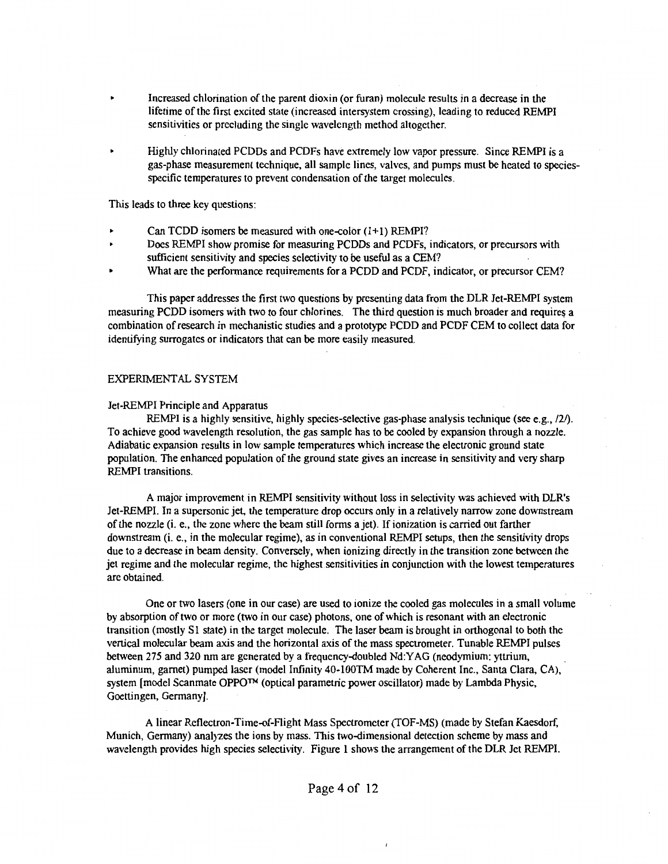- Increased chlorination of the parent dioxin (or furan) molecule results in a decrease in the lifetime of the first excited state (increased intersystem crossing), leading to reduced REMPI sensitivities or precluding the single wavelength method altogether.
- Highly chlorinated PCDDs and PCDFs have extremely low vapor pressure. Since REMPI is a gas-phase measurement technique, all sample lines, valves, and pumps must be heated to speciesspecific temperatures to prevent condensation of the target molecules.

This leads to three key questions:

- Can TCDD isomers be measured with one-color  $(1+1)$  REMPI?
- Does REMPI show promise for measuring PCDDs and PCDFs, indicators, or precursors with sufficient sensitivity and species selectivity to be useful as a CEM?
- What are the perfonnance requirements for a PCDD and PCDF, indicator, or precursor CEM?

This paper addresses the first two questions by presenting data from the DLR Jet-REMPI system measuring PCDD isomers with two to four chlorines. The third question is much broader and requires a combination of research in mechanistic studies and a prototype PCDD and PCDF CEM to collect data for identifying surrogates or indicators that can be more easily measured.

### EXPERIMENTAL SYSTEM

#### Jet-REMPI Principle and Apparatus

REMPI is a highly sensitive, highly species-selective gas-phase analysis technique (see e.g., /2/). To achieve good wavelength resolution, the gas sample has to be cooled by expansion through a nozzle. Adiabatic expansion results in low sample temperatures which increase the electronic ground state population. The enhanced population of the ground state gives an increase in sensitivity and very sharp REMPI transitions.

A major improvement in REMPI sensitivity without loss in selectivity was achieved with DLR's Jet-REMPI. In a supersonic jet, the temperature drop occurs only in a relatively narrow zone downstream of the nozzle (i. e., the zone where the beam still forms a jet). If ionization is carried out farther downstream (i.e., in the molecular regime), as in conventional REMPI setups, then the sensitivity drops due to a decrease in beam density. Conversely, when ionizing directly in the transition zone between the jet regime and the molecular regime, the highest sensitivities in conjunction with the lowest temperatures are obtained.

One or two lasers (one in our case) are used to ionize the cooled gas molecules in a small volume by absorption of two or more (two in our case) photons, one of which is resonant with an electronic transition (mostly SI state) in the target molecule. The laser beam is brought in orthogonal to both the vertical molecular beam axis and the horizontal axis of the mass spectrometer. Tunable REMPI pulses between 275 and 320 nm are generated by a frequency-doubled Nd:YAG (neodymium: yttrium, aluminum, garnet) pumped laser (model Infinity 40-lOOTM made by Coherent Inc., Santa Clara, CA), system [model Scanmate OPPO™ (optical parametric power oscillator) made by Lambda Physic, Goettingen, Germany].

A linear Reflectron-Time-of-Flight Mass Spectrometer (TOF-MS) (made by Stefan Kaesdorf, Munich, Germany) analyzes the ions by mass. This two-dimensional detection scheme by mass and wavelength provides high species selectivity. Figure 1 shows the arrangement of the DLR Jet REMPI.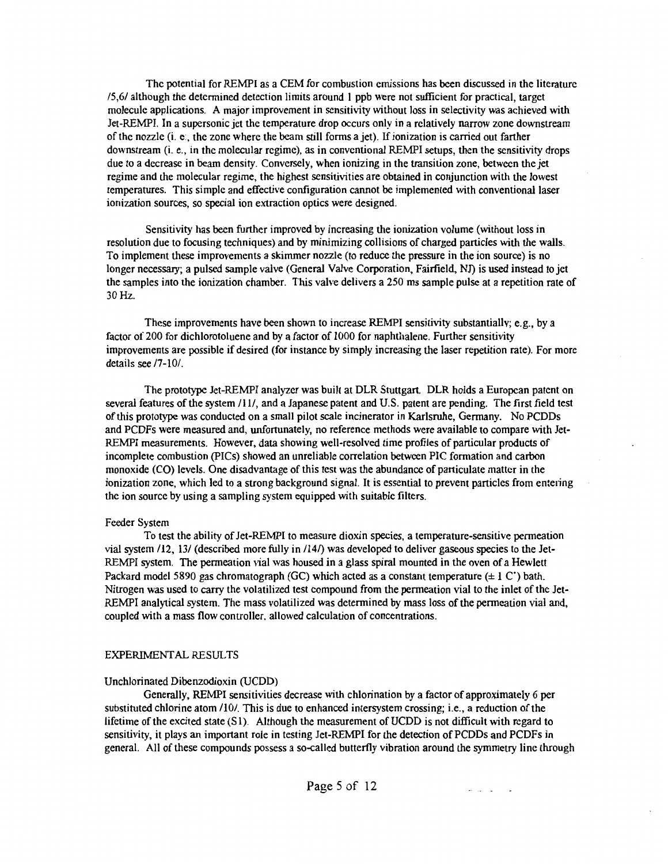The potential for REMPI as a CEM for combustion emissions has been discussed in the literature 15,61 although the determined detection limits around 1 ppb were not sufficient for practical, target molecule applications. A major improvement in sensitivity without loss in selectivity was achieved with Jet-REMPI. In a supersonic jet the temperature drop occurs only in a relatively narrow zone downstream of the nozzle (i. e:, the zone where the beam still forms a jet). If ionization is carried out farther downstream (i. e., in the molecular regime), as in conventional REMPI setups, then the sensitivity drops due to a decrease in beam density. Conversely, when ionizing in the transition zone, between the jet regime and the molecular regime, the highest sensitivities are obtained in conjunction with the lowest temperatures. This simple and effective configuration cannot be implemented with conventional laser ionization sources, so special ion extraction optics were designed.

Sensitivity has been further improved by increasing the ionization volume (without loss in resolution due to focusing techniques) and by minimizing collisions of charged particles with the walls. To implement these improvements a skimmer nozzle (to reduce the pressure in the ion source) is no longer necessary; a pulsed sample valve (General Valve Corporation, Fairfield. NJ) is used instead to jct the samples into the ionization chamber. This valve delivers a 250 ms sample pulse at a repetition rate of 30Hz.

These improvements have been shown to increase REMPI sensitivity substantially; e.g., by a factor of 200 for dichlorotoluene and by a factor of 1000 for naphthalene. Further sensitivity improvements are possible if desired (for instance by simply increasing the laser repetition rate). For more details see /7-10/.

The prototype Jet-REMPI analyzer was built at DLR Stuttgart. DLR holds a European patent on several features of the system /11/, and a Japanese patent and U.S. patent are pending. The first field test of this prototype was conducted on a small pilot scale incinerator in Karlsruhe, Germany. No PCDDs and PCDFs were measured and, unfortunately, no reference methods were available to compare with Jet-REMPI measurements. However, data showing well-resolved time profiles of particular products of incomplete combustion (PICs) showed an unreliable correlation between PIC formation and carbon monoxide (CO) levels. One disadvantage of this test was the abundance of particulate matter in the ionization zone, which led to a strong background signal. It is essential to prevent particles from entering the ion source by using a sampling system equipped with suitable filters.

## Feeder System

To test the ability of Jet-REMPI to measure dioxin species, a temperature-sensitive permeation vial system /12, 13/ (described more fully in /14/) was developed to deliver gaseous species to the Jet-REMPI system. The permeation vial was housed in a glass spiral mounted in the oven of a Hewlett Packard model 5890 gas chromatograph (GC) which acted as a constant temperature  $(\pm 1 \text{ C}')$  bath. Nitrogen was used to carry the volatilized test compound from the permeation vial to the inlet of the Jet-REMPI analytical system. The mass volatilized was determined by mass loss of the permeation vial and, coupled with a mass flow controller. allowed calculation of concentrations.

## EXPERIMENT AL RESULTS

## Unchlorinated Dibenzodioxin (UCDD)

Generally, REMPI sensitivities decrease with chlorination by a factor of approximately 6 per substituted chlorine atom /10/. This is due to enhanced intersystem crossing; i.e., a reduction of the lifetime of the excited state (S1). Although the measurement of UCDD is not difficult with regard to sensitivity, it plays an important role in testing Jet-REMPI for the detection of PCDDs and PCDFs in general. All of these compounds possess a so-called butterfly vibration around the symmetry line through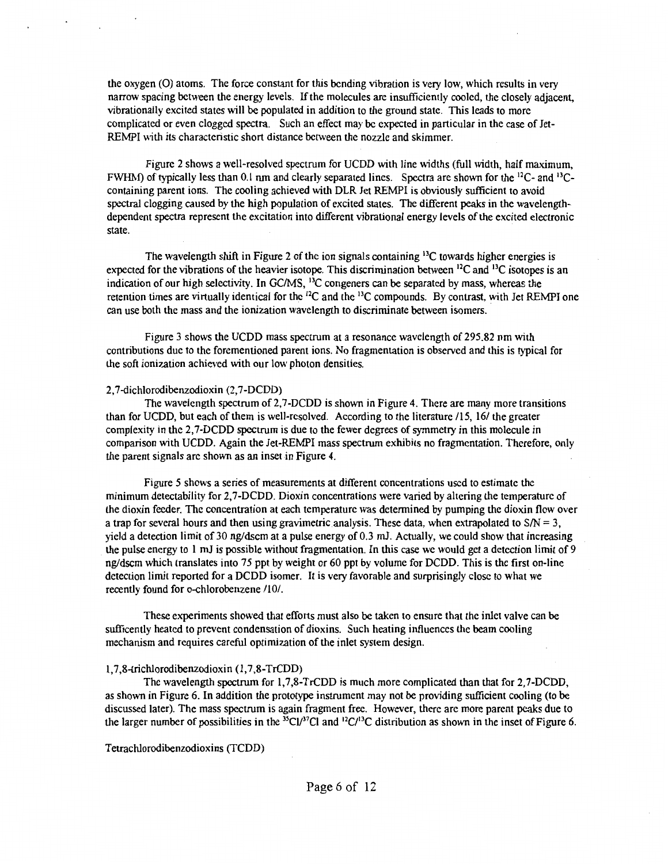the oxygen (0) atoms. The force constant for this bending vibration is very low, which results in very narrow spacing between the energy levels. If the molecules are insufficiently cooled, the closely adjacent, vibrationally excited states will be populated in addition to the ground state. This leads to more complicated or even clogged spectra. Such an effect may be expected in particular in the case of Jet-REMPI with its characteristic short distance between the nozzle and skimmer.

Figure 2 shows a well-resolved spectrum for UCDD with line widths (full width, half maximum, FWHM) of typically less than 0.1 nm and clearly separated lines. Spectra are shown for the 12C- and 13Ccontaining parent ions. The cooling achieved with DLR Jet REMPI is obviously sufficient to avoid spectral clogging caused by the high population of excited states. The different peaks in the wavelengthdependent spectra represent the excitation into different vibrational energy levels of the excited electronic state.

The wavelength shift in Figure 2 of the ion signals containing  $<sup>13</sup>C$  towards higher energies is</sup> expected for the vibrations of the heavier isotope. This discrimination between  $^{12}C$  and  $^{13}C$  isotopes is an indication of our high selectivity. In GC/MS, <sup>13</sup>C congeners can be separated by mass, whereas the retention times are virtually identical for the  $^{12}C$  and the  $^{13}C$  compounds. By contrast, with Jet REMPI one can use both the mass and the ionization wavelength to discriminate between isomers.

Figure 3 shows the UCDD mass spectrum at a resonance wavelength of 295.82 nm with contributions due to the forcmentioned parent ions. No fragmentation is observed and this is typical for the soft ionization achieved with our low photon densities.

#### 2, 7-dichlorodibenzodioxin (2, 7-DCDD)

The wavelength spectrum of 2,7-DCDD is shown in Figure 4. There are many more transitions than for UCDD, but each of them is well-resolved. According to the literature /15, 16/ the greater complexity in the 2,7-DCDD spectrum is due to the fewer degrees of symmetry in this molecule in comparison with UCDD. Again the Jet-REMPI mass spectrum exhibits no fragmentation. Therefore, only the parent signals arc shown as an inset in Figure 4.

Figure 5 shows a series of measurements at different concentrations used to estimate the minimum detectability for 2,7-DCDD. Dioxin concentrations were varied by altering the temperature of the dioxin feeder. The concentration at each temperature was determined by pumping the dioxin flow over a trap for several hours and then using gravimetric analysis. These data, when extrapolated to *SIN=* 3, yield a detection limit of 30 ng/dscm at a pulse energy of 0.3 ml Actually, we could show that increasing the pulse energy to 1 *ml* is possible without fragmentation. In this case we would get a detection limit of 9 ng/dscm which translates into 75 ppt by weight or 60 ppt by volume for DCDD. This is the first on-line detection limit reported for a DCDD isomer. It is very favorable and surprisingly close to what we recently found for o-chlorobenzene /10/.

These experiments showed that efforts must also be taken to ensure that the inlet valve can be sufficently heated to prevent condensation of dioxins. Such heating influences the beam cooling mechanism and requires careful optimization of the inlet system design.

#### 1,7,8-trichlorodibenzodioxin (1, 7,8-TrCDD)

The wavelength spectrum for 1,7,8-TrCDD is much more complicated than that for 2,7-DCDD, as shown in Figure 6. In addition the prototype instrument may not be providing sufficient cooling (to be discussed later). The mass spectrum is again fragment free. However, there are more parent peaks due to the larger number of possibilities in the <sup>35</sup>Cl/<sup>37</sup>Cl and <sup>12</sup>C/<sup>13</sup>C distribution as shown in the inset of Figure 6.

Tetrachlorodibenzodioxins (TCDD)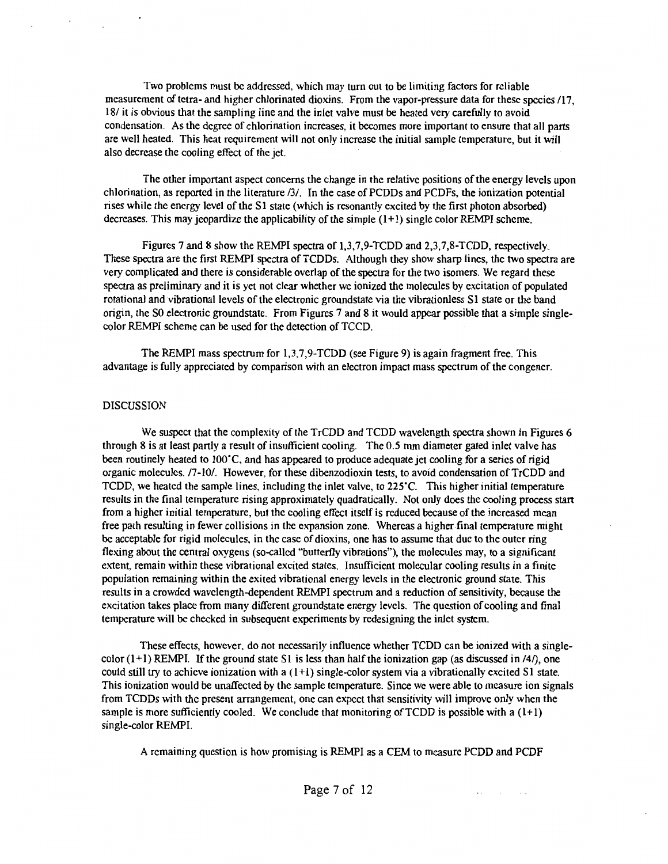Two problems must be addressed, which may tum out to be limiting factors for reliable measurement of tetra- and higher chlorinated dioxins. From the vapor-pressure data for these species /17, 18/ it is obvious that the sampling line and the inlet valve must be heated very carefully to avoid condensation. As the degree of chlorination increases, it becomes more important to ensure that all parts are well heated. This heat requirement will not only increase the initial sample temperature, but it will also decrease the cooling effect of the jet.

The other important aspect concerns the change in the relative positions of the energy levels upon chlorination, as reported in the literature /3/. In the case of PCDDs and PCDFs, the ionization potential rises while the energy level of the Sl state (which is resonantly excited by the first photon absorbed) decreases. This may jeopardize the applicability of the simple (I+ I) single color REMPI scheme.

Figures 7 and 8 show the REMPI spectra of 1,3,7,9-TCDD and 2,3,7,8-TCDD, respectively. These spectra are the first REMPI spectra of TCDDs. Although they show sharp lines, the two spectra are very complicated and there is considerable overlap of the spectra for the two isomers. We regard these spectra as preliminary and it is yet not clear whether we ionized the molecules by excitation of populated rotational and vibrational levels of the electronic groundstate via the vibrationless Sl state or the band origin, the SO electronic groundstate. From Figures 7 and 8 it would appear possible that a simple singlecolor REMPI scheme can be used for the detection of TCCD.

The REMPI mass spectrum for 1,3,7,9-TCDD (see Figure 9) is again fragment free. This advantage is fully appreciated by comparison with an electron impact mass spectrum of the congener.

#### DISCUSSION

We suspect that the complexity of the TrCDD and TCDD wavelength spectra shown in Figures 6 through 8 is at least partly a result of insufficient cooling. The 0.5 mm diameter gated inlet valve has been routinely heated to 100<sup>o</sup>C, and has appeared to produce adequate jet cooling for a series of rigid organic molecules. /7-10/. However, for these dibenzodioxin tests, to avoid condensation of TrCDD and TCDD, we heated the sample lines, including the inlet valve, to 225<sup>o</sup>C. This higher initial temperature results in the final temperature rising approximately quadratically. Not only does the cooling process start from a higher initial temperature, but the cooling effect itself is reduced because of the increased mean free path resulting in fewer collisions in the expansion zone. Whereas a higher final temperature might be acceptable for rigid molecules, in the case of dioxins, one has to assume that due to the outer ring flexing about the central oxygens (so-called "butterfly vibrations"), the molecules may, to a significant extent, remain within these vibrational excited states. Insufficient molecular cooling results in a finite population remaining within the exited vibrational energy levels in the electronic ground state. This results in a crowded wavelength-dependent REMPI spectrum and a reduction of sensitivity, because the excitation takes place from many different groundstate energy levels. The question of cooling and final temperature will be checked in subsequent experiments by redesigning the inlet system.

These effects, however. do not necessarily influence whether TCDD can be ionized with a singlecolor  $(1+1)$  REMPI. If the ground state S1 is less than half the ionization gap (as discussed in /4/), one could still try to achieve ionization with a  $(1+1)$  single-color system via a vibrationally excited S1 state. This ionization would be unaffected by the sample temperature. Since we were able to measure ion signals from TCDDs with the present arrangement, one can expect that sensitivity will improve only when the sample is more sufficiently cooled. We conclude that monitoring of  $\text{TCDD}$  is possible with a  $(1+1)$ single-color REMPI.

A remaining question is how promising is REMPI as a CEM to measure PCDD and PCDF

 $\sigma$  ,  $\sigma$  ,  $\sigma$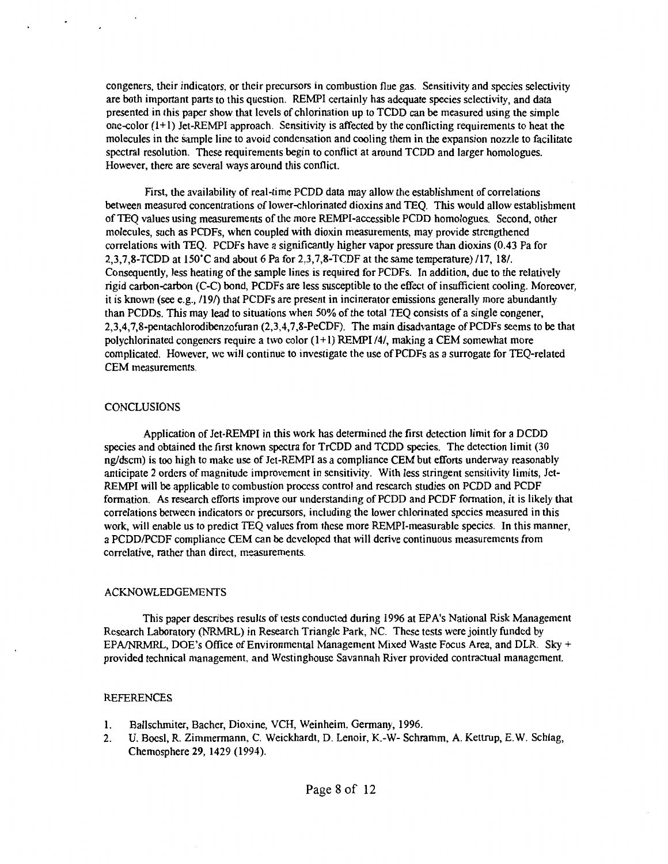congeners, their indicators. or their precursors in combustion flue gas. Sensitivity and species selectivity are both important parts to this question. REMPI certainly has adequate species selectivity, and data presented in this paper show that levels of chlorination up to TCDD can be measured using the simple one-color  $(1+1)$  Jet-REMPI approach. Sensitivity is affected by the conflicting requirements to heat the molecules in the Sample line to avoid condensation and cooling them in the expansion nozzle to facilitate spectral resolution. These requirements begin to conflict at around TCDD and larger homologues. However, there are several ways around this conflict.

First, the availability of real-time PCDD data may allow the establishment of correlations between measured concentrations of lower-chlorinated dioxins and TEQ. This would allow establishment ofTEQ values using measurements of the more REMPI-accessible PCDD homologues. Second, other molecules, such as PCDFs, when coupled with dioxin measurements, may provide strengthened correlations with TEQ. PCDFs have a significantly higher vapor pressure than dioxins (0.43 Pa for 2,3,7,8-TCDD at 150"C and about 6 Pa for 2,3,7,8-TCDF at the same temperature) /17, 18/. Consequently, less heating of the sample lines is required for PCDFs. In addition, due to the relatively rigid carbon-carbon (C-C) bond, PCDFs are less susceptible to the effect of insufficient cooling. Moreover, it is known (see e.g., /19/) that PCDFs are present in incinerator emissions generally more abundantly than PCDDs. This may lead to situations when 50% of the total TEQ consists of a single congener, 2,3,4,7,8-pentachlorodibenzofuran (2,3,4,7,8-PeCDF). The main disadvantage of PCDFs seems to be that polychlorinated congeners require a two color  $(1+1)$  REMPI /4/, making a CEM somewhat more complicated. However, we will continue to investigate the use of PCDFs as a surrogate for TEQ-related CEM measurements.

#### **CONCLUSIONS**

Application of Jet-REMPI in this work has determined the first detection limit for a DCDD species and obtained the first known spectra for TrCDD and TCDD species. The detection limit (30 ng/dscm) is too high to make use of Jet-REMPI as a compliance CEM but efforts underway reasonably anticipate 2 orders of magnitude improvement in sensitivity. With less stringent sensitivity limits, Jet-REMPI will be applicable to combustion process control and research studies on PCDD and PCDF formation. As research efforts improve our understanding of PCDD and PCDF formation, it is likely that correlations between indicators or precursors, including the lower chlorinated species measured in this work, will enable us to predict TEQ values from these more REMPI-measurable species. In this manner, a PCDD/PCDF compliance CEM can be developed that will derive continuous measurements from correlative, rather than direct, measurements.

## ACKNOWLEDGEMENTS

This paper describes results of tests conducted during 1996 at EPA's National Risk Management Research Laboratory (NRMRL) in Research Triangle Park, NC. These tests were jointly funded by EPA/NRMRL, DOE's Office of Environmental Management Mixed Waste Focus Area, and DLR. Sky  $+$ provided technical management. and Westinghouse Savannah River provided contractual management.

#### REFERENCES

- I. Ballschmiter, Bacher, Dioxine, VCH, Weinheim. Germany, 1996.
- 2. U. Bocsl, R. Zimmermann, C. Weickhardt, D. Lenoir, K.-W- Schramm, A. Kettrup, E.W. Schlag, Chemosphere 29, 1429 (1994).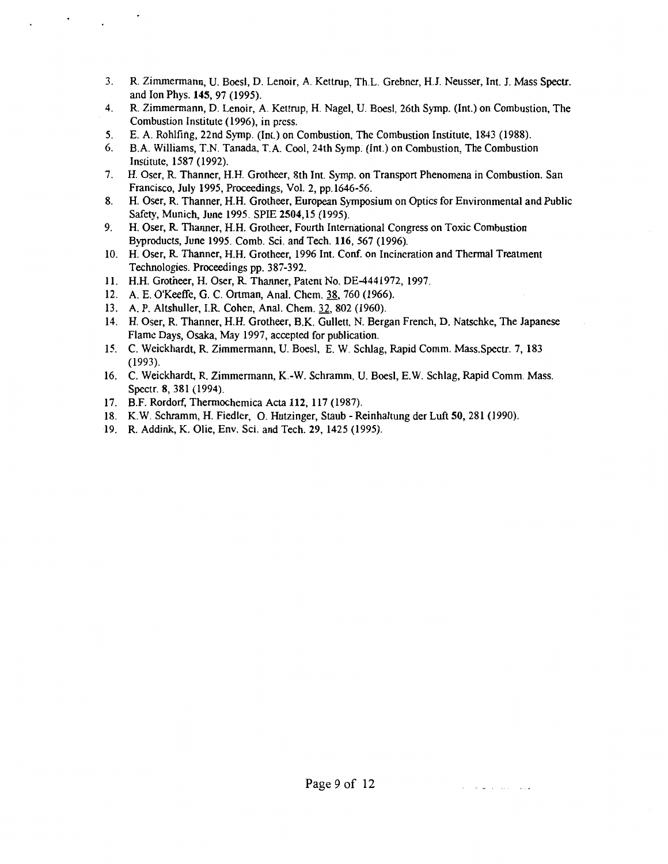- 3. R. Zimmermann, U. Boes!, D. Lenoir, A. Kettrup, Th.L. Grebner, H.J. Neusser, Int. J. Mass Spectr. and Ion Phys. **145,** 97 (1995).
- 4. R. Zimmermann, D. Lenoir, A. Kettrup, H. Nagel, U. Boesl, 26th Symp. (Int.) on Combustion, The Combustion Institute ( 1996), in press.
- 5. E. A. Rohlfing, 22nd Symp. (Int.) on Combustion, The Combustion Institute, 1843 (1988).
- 6. B.A. Williams, T.N. Tanada, T.A. Cool, 24th Symp. (Int.) on Combustion, The Combustion Institute, 1587 (1992).
- 7. H. Oser, R Thanner, H.H. Grotheer, 8th Int. Symp. on Transport Phenomena in Combustion. San Francisco, July 1995, Proceedings, Vol. 2, pp.1646-56.
- 8. H. Oser, R. Thanner, H.H. Grotheer, European Symposium on Optics for Environmental and Public Safety, Munich, June 1995. SPIE 2504,15 (1995).
- 9. H. Oser, R Thanner, H.H. Grotheer, Fourth International Congress on Toxic Combustion Byproducts, June 1995. Comb. Sci. and Tech. 116, 567 (1996).
- 10. H. Oser, R Thanner, H.H. Grotheer, 1996 Int. Conf. on Incineration and Thermal Treatment Technologies. Proceedings pp. 387-392.
- 11. H.H. Grotheer, H. Oser, R Thanner, Patem No. DE-4441972, 1997.
- 12. A. E. O'Keeffe, G. C. Ortman, Anal. Chem. 38, 760 (1966).
- 13. A. P. Altshuller, I.R Cohen, Anal. Chem. 32, 802 (1960).
- 14. H. Oser, R. Thanner, H.H. Grotheer, B.K. Gullett, N. Bergan French, D. Natschke, The Japanese Flame Days, Osaka, May 1997, accepted for publication.
- 15. C. Weickhardt, R. Zimmermann, U. Boesl, E. W. Schlag, Rapid Comm. Mass.Spectr. 7, 183 (1993).
- 16. C. Weickhardt, R. Zimmermann, K.-W. Schramm, U. Boesl, E.W. Schlag, Rapid Comm. Mass. Spectr. 8, 381 (1994).
- 17. B.F. Rordorf, Thermochemica Acta 112, 117 (1987).
- 18. K.W. Schramm, H. Fiedler, 0. Hutzinger, Staub Reinhaltung der Luft 50, 281 (1990).
- 19. R. Addink, K. Olie, Env. Sci. and Tech. 29, 1425 (1995).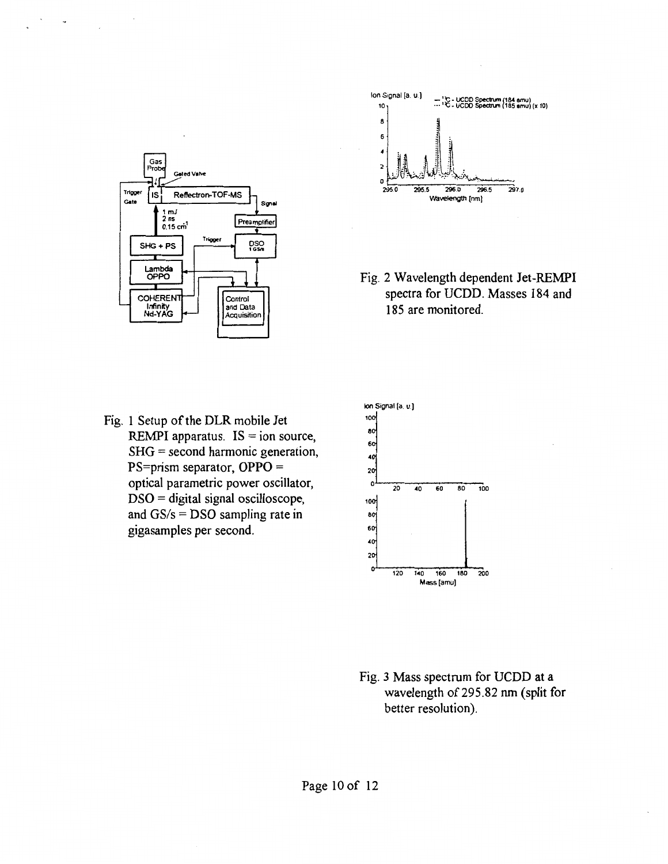



Fig. 2 Wavelength dependent Jet-REMPI spectra for UCDD. Masses 184 and 185 are monitored.

Fig. 1 Setup of the DLR mobile Jet REMPI apparatus.  $IS = ion source$ , SHG = second harmonic generation, PS=prism separator, OPPO = optical parametric power oscillator, DSO = digital signal oscilloscope, and  $GS/s = DSO$  sampling rate in gigasamples per second.



Fig. 3 Mass spectrum for UCDD at a wavelength of 295.82 nm (split for better resolution).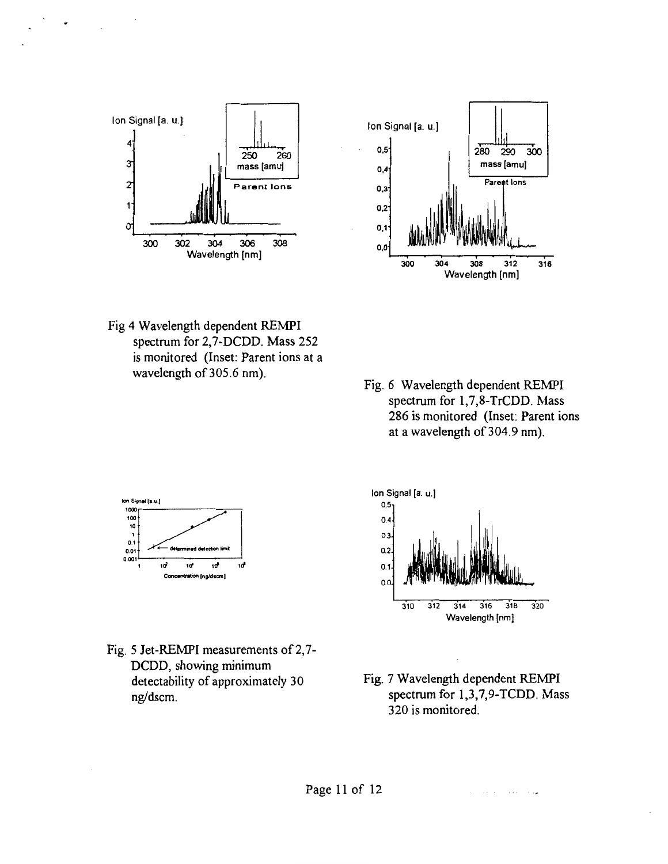



- Fig 4 Wavelength dependent REMPI spectrum for 2,7-DCDD. Mass 252 is monitored (Inset: Parent ions at a wavelength of 305.6 nm).
- Fig. 6 Wavelength dependent REMPI spectrum for 1,7,8-TrCDD. Mass 286 is monitored (Inset: Parent ions at a wavelength of 304.9 nm).



Fig. 5 Jet-REMPI measurements of 2,7-DCDD, showing minimum detectability of approximately 30 ng/dscm.



Fig. 7 Wavelength dependent REMPI spectrum for 1,3,7,9-TCDD. Mass 320 is monitored.

ساوا المتراد والمرادة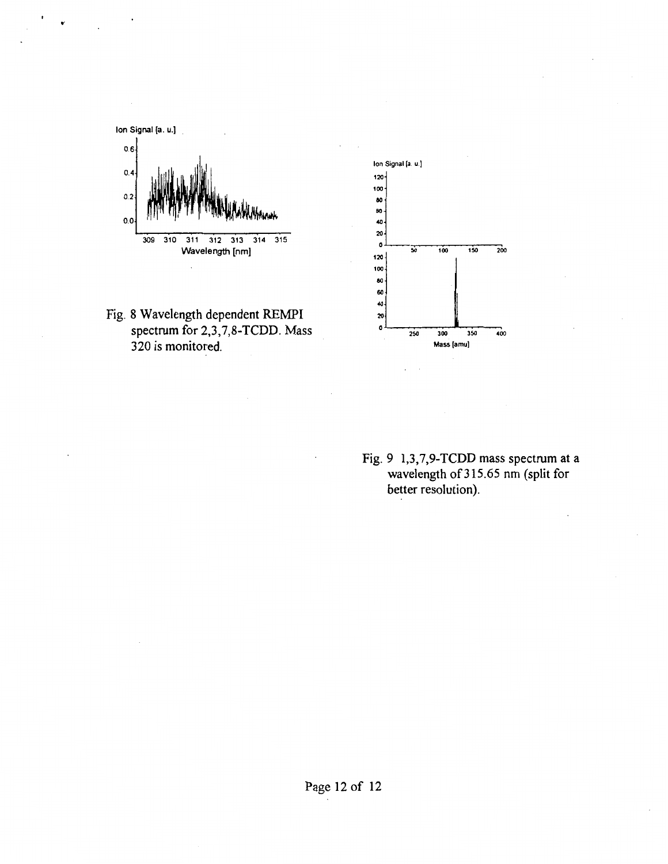





Fig. 9 1,3,7,9-TCDD mass spectrum at a wavelength of 315.65 nm (split for better resolution).